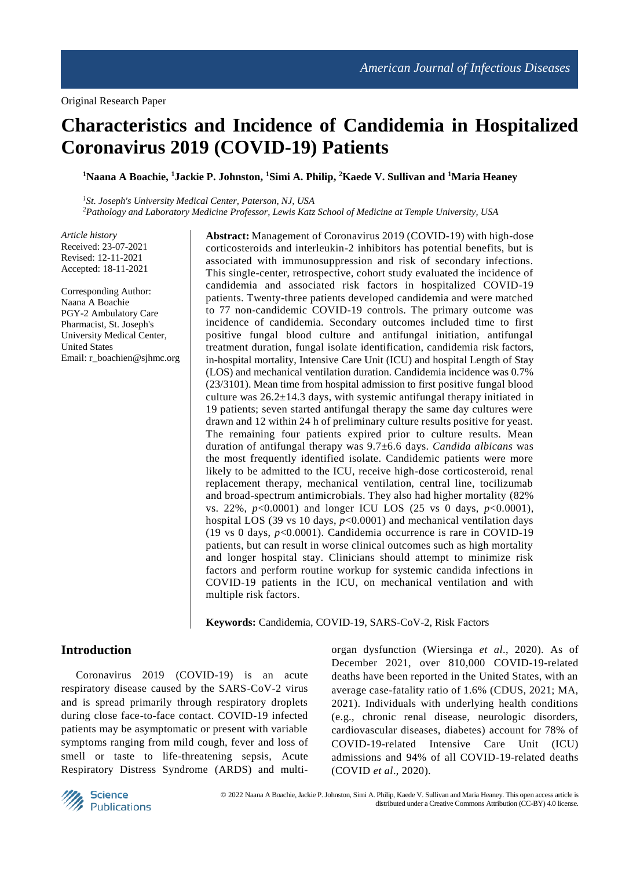# **Characteristics and Incidence of Candidemia in Hospitalized Coronavirus 2019 (COVID-19) Patients**

**<sup>1</sup>Naana A Boachie, <sup>1</sup>Jackie P. Johnston, <sup>1</sup>Simi A. Philip, <sup>2</sup>Kaede V. Sullivan and <sup>1</sup>Maria Heaney**

*<sup>1</sup>St. Joseph's University Medical Center, Paterson, NJ, USA <sup>2</sup>Pathology and Laboratory Medicine Professor, Lewis Katz School of Medicine at Temple University, USA*

*Article history* Received: 23-07-2021 Revised: 12-11-2021 Accepted: 18-11-2021

Corresponding Author: Naana A Boachie PGY-2 Ambulatory Care Pharmacist, St. Joseph's University Medical Center, United States Email: r\_boachien@sjhmc.org **Abstract:** Management of Coronavirus 2019 (COVID-19) with high-dose corticosteroids and interleukin-2 inhibitors has potential benefits, but is associated with immunosuppression and risk of secondary infections. This single-center, retrospective, cohort study evaluated the incidence of candidemia and associated risk factors in hospitalized COVID-19 patients. Twenty-three patients developed candidemia and were matched to 77 non-candidemic COVID-19 controls. The primary outcome was incidence of candidemia. Secondary outcomes included time to first positive fungal blood culture and antifungal initiation, antifungal treatment duration, fungal isolate identification, candidemia risk factors, in-hospital mortality, Intensive Care Unit (ICU) and hospital Length of Stay (LOS) and mechanical ventilation duration. Candidemia incidence was 0.7% (23/3101). Mean time from hospital admission to first positive fungal blood culture was  $26.2 \pm 14.3$  days, with systemic antifungal therapy initiated in 19 patients; seven started antifungal therapy the same day cultures were drawn and 12 within 24 h of preliminary culture results positive for yeast. The remaining four patients expired prior to culture results. Mean duration of antifungal therapy was 9.7±6.6 days. *Candida albicans* was the most frequently identified isolate. Candidemic patients were more likely to be admitted to the ICU, receive high-dose corticosteroid, renal replacement therapy, mechanical ventilation, central line, tocilizumab and broad-spectrum antimicrobials. They also had higher mortality (82% vs. 22%, *p*<0.0001) and longer ICU LOS (25 vs 0 days, *p*<0.0001), hospital LOS (39 vs 10 days, *p*<0.0001) and mechanical ventilation days (19 vs 0 days, *p*<0.0001). Candidemia occurrence is rare in COVID-19 patients, but can result in worse clinical outcomes such as high mortality and longer hospital stay. Clinicians should attempt to minimize risk factors and perform routine workup for systemic candida infections in COVID-19 patients in the ICU, on mechanical ventilation and with multiple risk factors.

**Keywords:** Candidemia, COVID-19, SARS-CoV-2, Risk Factors

## **Introduction**

Coronavirus 2019 (COVID-19) is an acute respiratory disease caused by the SARS-CoV-2 virus and is spread primarily through respiratory droplets during close face-to-face contact. COVID-19 infected patients may be asymptomatic or present with variable symptoms ranging from mild cough, fever and loss of smell or taste to life-threatening sepsis, Acute Respiratory Distress Syndrome (ARDS) and multiorgan dysfunction (Wiersinga *et al*., 2020). As of December 2021, over 810,000 COVID-19-related deaths have been reported in the United States, with an average case-fatality ratio of 1.6% (CDUS, 2021; MA, 2021). Individuals with underlying health conditions (e.g., chronic renal disease, neurologic disorders, cardiovascular diseases, diabetes) account for 78% of COVID-19-related Intensive Care Unit (ICU) admissions and 94% of all COVID-19-related deaths (COVID *et al*., 2020).

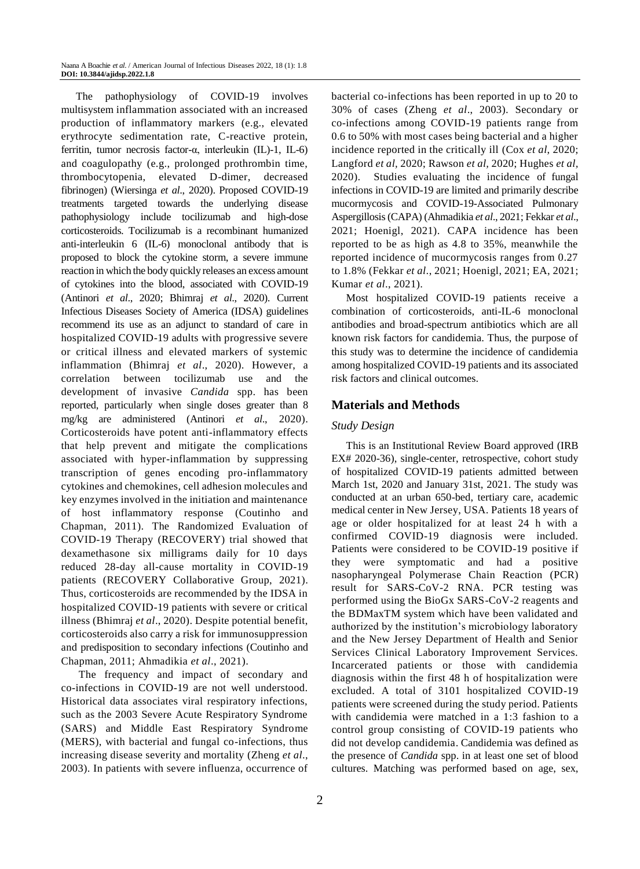The pathophysiology of COVID-19 involves multisystem inflammation associated with an increased production of inflammatory markers (e.g., elevated erythrocyte sedimentation rate, C-reactive protein, ferritin, tumor necrosis factor-α, interleukin (IL)-1, IL-6) and coagulopathy (e.g., prolonged prothrombin time, thrombocytopenia, elevated D-dimer, decreased fibrinogen) (Wiersinga *et al*., 2020). Proposed COVID-19 treatments targeted towards the underlying disease pathophysiology include tocilizumab and high-dose corticosteroids. Tocilizumab is a recombinant humanized anti-interleukin 6 (IL-6) monoclonal antibody that is proposed to block the cytokine storm, a severe immune reaction in which the body quickly releases an excess amount of cytokines into the blood, associated with COVID-19 (Antinori *et al*., 2020; Bhimraj *et al*., 2020). Current Infectious Diseases Society of America (IDSA) guidelines recommend its use as an adjunct to standard of care in hospitalized COVID-19 adults with progressive severe or critical illness and elevated markers of systemic inflammation (Bhimraj *et al*., 2020). However, a correlation between tocilizumab use and the development of invasive *Candida* spp. has been reported, particularly when single doses greater than 8 mg/kg are administered (Antinori *et al*., 2020). Corticosteroids have potent anti-inflammatory effects that help prevent and mitigate the complications associated with hyper-inflammation by suppressing transcription of genes encoding pro-inflammatory cytokines and chemokines, cell adhesion molecules and key enzymes involved in the initiation and maintenance of host inflammatory response (Coutinho and Chapman, 2011). The Randomized Evaluation of COVID-19 Therapy (RECOVERY) trial showed that dexamethasone six milligrams daily for 10 days reduced 28-day all-cause mortality in COVID-19 patients (RECOVERY Collaborative Group, 2021). Thus, corticosteroids are recommended by the IDSA in hospitalized COVID-19 patients with severe or critical illness (Bhimraj *et al*., 2020). Despite potential benefit, corticosteroids also carry a risk for immunosuppression and predisposition to secondary infections (Coutinho and Chapman, 2011; Ahmadikia *et al*., 2021).

The frequency and impact of secondary and co-infections in COVID-19 are not well understood. Historical data associates viral respiratory infections, such as the 2003 Severe Acute Respiratory Syndrome (SARS) and Middle East Respiratory Syndrome (MERS), with bacterial and fungal co-infections, thus increasing disease severity and mortality (Zheng *et al*., 2003). In patients with severe influenza, occurrence of

bacterial co-infections has been reported in up to 20 to 30% of cases (Zheng *et al*., 2003). Secondary or co-infections among COVID-19 patients range from 0.6 to 50% with most cases being bacterial and a higher incidence reported in the critically ill (Cox *et al*, 2020; Langford *et al,* 2020; Rawson *et al,* 2020; Hughes *et al,* 2020). Studies evaluating the incidence of fungal infections in COVID-19 are limited and primarily describe mucormycosis and COVID-19-Associated Pulmonary Aspergillosis (CAPA) (Ahmadikia *et al*., 2021; Fekkar *et al*., 2021; Hoenigl, 2021). CAPA incidence has been reported to be as high as 4.8 to 35%, meanwhile the reported incidence of mucormycosis ranges from 0.27 to 1.8% (Fekkar *et al*., 2021; Hoenigl, 2021; EA, 2021; Kumar *et al*., 2021).

Most hospitalized COVID-19 patients receive a combination of corticosteroids, anti-IL-6 monoclonal antibodies and broad-spectrum antibiotics which are all known risk factors for candidemia. Thus, the purpose of this study was to determine the incidence of candidemia among hospitalized COVID-19 patients and its associated risk factors and clinical outcomes.

# **Materials and Methods**

## *Study Design*

This is an Institutional Review Board approved (IRB EX# 2020-36), single-center, retrospective, cohort study of hospitalized COVID-19 patients admitted between March 1st, 2020 and January 31st, 2021. The study was conducted at an urban 650-bed, tertiary care, academic medical center in New Jersey, USA. Patients 18 years of age or older hospitalized for at least 24 h with a confirmed COVID-19 diagnosis were included. Patients were considered to be COVID-19 positive if they were symptomatic and had a positive nasopharyngeal Polymerase Chain Reaction (PCR) result for SARS-CoV-2 RNA. PCR testing was performed using the BioGx SARS-CoV-2 reagents and the BDMaxTM system which have been validated and authorized by the institution's microbiology laboratory and the New Jersey Department of Health and Senior Services Clinical Laboratory Improvement Services. Incarcerated patients or those with candidemia diagnosis within the first 48 h of hospitalization were excluded. A total of 3101 hospitalized COVID-19 patients were screened during the study period. Patients with candidemia were matched in a 1:3 fashion to a control group consisting of COVID-19 patients who did not develop candidemia. Candidemia was defined as the presence of *Candida* spp. in at least one set of blood cultures. Matching was performed based on age, sex,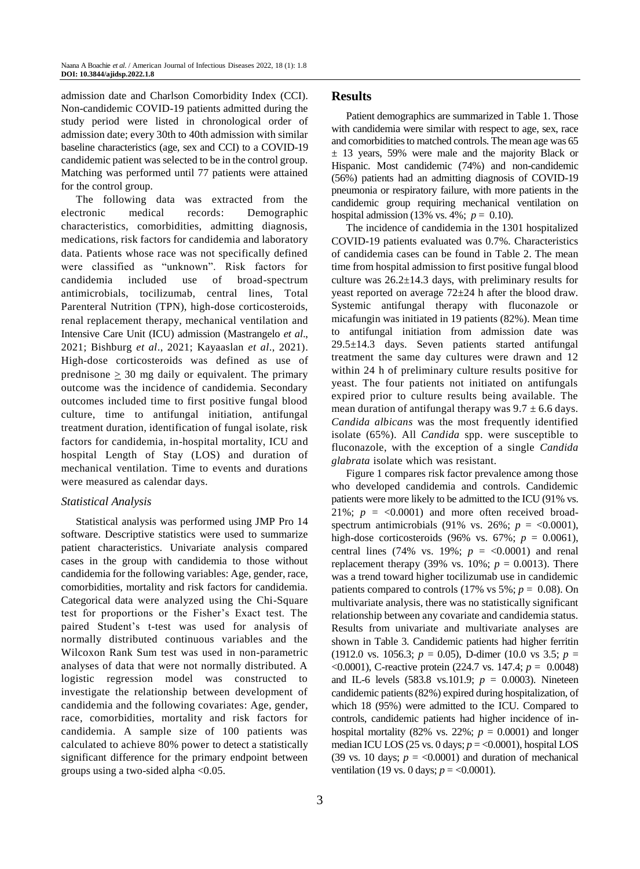admission date and Charlson Comorbidity Index (CCI). Non-candidemic COVID-19 patients admitted during the study period were listed in chronological order of admission date; every 30th to 40th admission with similar baseline characteristics (age, sex and CCI) to a COVID-19 candidemic patient was selected to be in the control group. Matching was performed until 77 patients were attained for the control group.

The following data was extracted from the electronic medical records: Demographic characteristics, comorbidities, admitting diagnosis, medications, risk factors for candidemia and laboratory data. Patients whose race was not specifically defined were classified as "unknown". Risk factors for candidemia included use of broad-spectrum antimicrobials, tocilizumab, central lines, Total Parenteral Nutrition (TPN), high-dose corticosteroids, renal replacement therapy, mechanical ventilation and Intensive Care Unit (ICU) admission (Mastrangelo *et al*., 2021; Bishburg *et al*., 2021; Kayaaslan *et al*., 2021). High-dose corticosteroids was defined as use of prednisone  $\geq 30$  mg daily or equivalent. The primary outcome was the incidence of candidemia. Secondary outcomes included time to first positive fungal blood culture, time to antifungal initiation, antifungal treatment duration, identification of fungal isolate, risk factors for candidemia, in-hospital mortality, ICU and hospital Length of Stay (LOS) and duration of mechanical ventilation. Time to events and durations were measured as calendar days.

## *Statistical Analysis*

Statistical analysis was performed using JMP Pro 14 software. Descriptive statistics were used to summarize patient characteristics. Univariate analysis compared cases in the group with candidemia to those without candidemia for the following variables: Age, gender, race, comorbidities, mortality and risk factors for candidemia. Categorical data were analyzed using the Chi-Square test for proportions or the Fisher's Exact test. The paired Student's t-test was used for analysis of normally distributed continuous variables and the Wilcoxon Rank Sum test was used in non-parametric analyses of data that were not normally distributed. A logistic regression model was constructed to investigate the relationship between development of candidemia and the following covariates: Age, gender, race, comorbidities, mortality and risk factors for candidemia. A sample size of 100 patients was calculated to achieve 80% power to detect a statistically significant difference for the primary endpoint between groups using a two-sided alpha <0.05.

#### **Results**

Patient demographics are summarized in Table 1. Those with candidemia were similar with respect to age, sex, race and comorbidities to matched controls. The mean age was 65 ± 13 years, 59% were male and the majority Black or Hispanic. Most candidemic (74%) and non-candidemic (56%) patients had an admitting diagnosis of COVID-19 pneumonia or respiratory failure, with more patients in the candidemic group requiring mechanical ventilation on hospital admission (13% vs. 4%; *p* = 0.10).

The incidence of candidemia in the 1301 hospitalized COVID-19 patients evaluated was 0.7%. Characteristics of candidemia cases can be found in Table 2. The mean time from hospital admission to first positive fungal blood culture was  $26.2 \pm 14.3$  days, with preliminary results for yeast reported on average 72±24 h after the blood draw. Systemic antifungal therapy with fluconazole or micafungin was initiated in 19 patients (82%). Mean time to antifungal initiation from admission date was 29.5±14.3 days. Seven patients started antifungal treatment the same day cultures were drawn and 12 within 24 h of preliminary culture results positive for yeast. The four patients not initiated on antifungals expired prior to culture results being available. The mean duration of antifungal therapy was  $9.7 \pm 6.6$  days. *Candida albicans* was the most frequently identified isolate (65%). All *Candida* spp. were susceptible to fluconazole, with the exception of a single *Candida glabrata* isolate which was resistant.

Figure 1 compares risk factor prevalence among those who developed candidemia and controls. Candidemic patients were more likely to be admitted to the ICU (91% vs. 21%;  $p = <0.0001$ ) and more often received broadspectrum antimicrobials (91% vs. 26%;  $p = <0.0001$ ), high-dose corticosteroids (96% vs. 67%;  $p = 0.0061$ ), central lines (74% vs. 19%;  $p = <0.0001$ ) and renal replacement therapy (39% vs.  $10\%$ ;  $p = 0.0013$ ). There was a trend toward higher tocilizumab use in candidemic patients compared to controls  $(17\% \text{ vs } 5\%; p = 0.08)$ . On multivariate analysis, there was no statistically significant relationship between any covariate and candidemia status. Results from univariate and multivariate analyses are shown in Table 3. Candidemic patients had higher ferritin (1912.0 vs. 1056.3; *p* = 0.05), D-dimer (10.0 vs 3.5; *p* = <0.0001), C-reactive protein (224.7 vs. 147.4; *p* = 0.0048) and IL-6 levels (583.8 vs.101.9; *p* = 0.0003). Nineteen candidemic patients (82%) expired during hospitalization, of which 18 (95%) were admitted to the ICU. Compared to controls, candidemic patients had higher incidence of inhospital mortality (82% vs. 22%;  $p = 0.0001$ ) and longer median ICU LOS (25 vs. 0 days; *p* = <0.0001), hospital LOS (39 vs. 10 days;  $p = <0.0001$ ) and duration of mechanical ventilation (19 vs. 0 days;  $p = 0.0001$ ).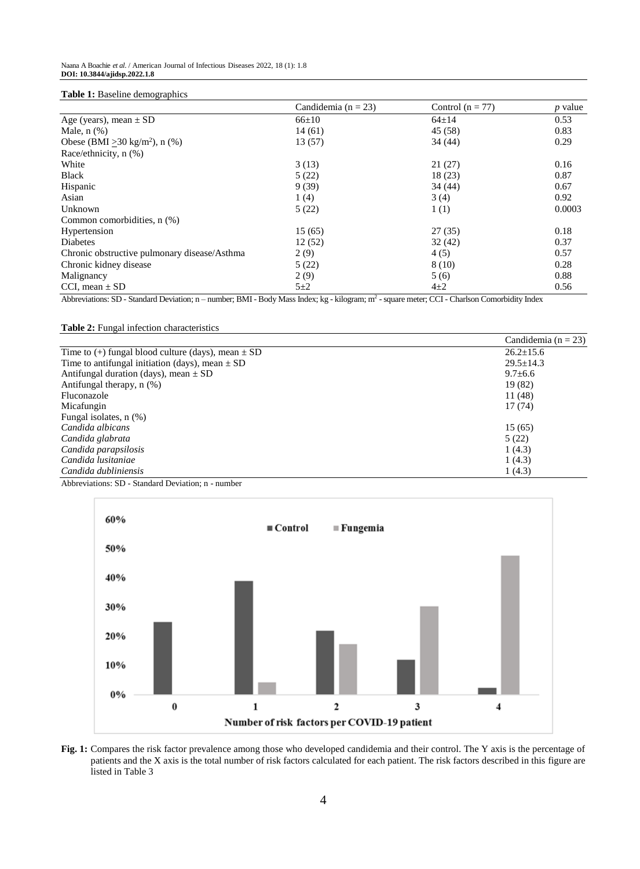#### **Table 1:** Baseline demographics

|                                                 | Candidemia ( $n = 23$ ) | Control ( $n = 77$ ) | $p$ value |
|-------------------------------------------------|-------------------------|----------------------|-----------|
| Age (years), mean $\pm$ SD                      | $66 \pm 10$             | $64 \pm 14$          | 0.53      |
| Male, $n$ $(\%)$                                | 14(61)                  | 45 (58)              | 0.83      |
| Obese (BMI $\geq$ 30 kg/m <sup>2</sup> ), n (%) | 13(57)                  | 34 (44)              | 0.29      |
| Race/ethnicity, n (%)                           |                         |                      |           |
| White                                           | 3(13)                   | 21(27)               | 0.16      |
| <b>Black</b>                                    | 5(22)                   | 18(23)               | 0.87      |
| Hispanic                                        | 9(39)                   | 34 (44)              | 0.67      |
| Asian                                           | 1(4)                    | 3(4)                 | 0.92      |
| Unknown                                         | 5(22)                   | 1(1)                 | 0.0003    |
| Common comorbidities, n (%)                     |                         |                      |           |
| Hypertension                                    | 15(65)                  | 27(35)               | 0.18      |
| <b>Diabetes</b>                                 | 12(52)                  | 32(42)               | 0.37      |
| Chronic obstructive pulmonary disease/Asthma    | 2(9)                    | 4(5)                 | 0.57      |
| Chronic kidney disease                          | 5(22)                   | 8(10)                | 0.28      |
| Malignancy                                      | 2(9)                    | 5(6)                 | 0.88      |
| CCI, mean $\pm$ SD                              | $5\pm2$                 | $4+2$                | 0.56      |

Abbreviations: SD - Standard Deviation; n - number; BMI - Body Mass Index; kg - kilogram; m<sup>2</sup> - square meter; CCI - Charlson Comorbidity Index

#### **Table 2:** Fungal infection characteristics

|                                                        | Candidemia ( $n = 23$ ) |
|--------------------------------------------------------|-------------------------|
| Time to (+) fungal blood culture (days), mean $\pm$ SD | $26.2 \pm 15.6$         |
| Time to antifungal initiation (days), mean $\pm$ SD    | $29.5 \pm 14.3$         |
| Antifungal duration (days), mean $\pm$ SD              | $9.7 \pm 6.6$           |
| Antifungal therapy, $n$ $(\%)$                         | 19 (82)                 |
| Fluconazole                                            | 11 (48)                 |
| Micafungin                                             | 17(74)                  |
| Fungal isolates, n (%)                                 |                         |
| Candida albicans                                       | 15(65)                  |
| Candida glabrata                                       | 5(22)                   |
| Candida parapsilosis                                   | 1(4.3)                  |
| Candida lusitaniae                                     | 1(4.3)                  |
| Candida dubliniensis                                   | 1(4.3)                  |

Abbreviations: SD - Standard Deviation; n - number



**Fig. 1:** Compares the risk factor prevalence among those who developed candidemia and their control. The Y axis is the percentage of patients and the X axis is the total number of risk factors calculated for each patient. The risk factors described in this figure are listed in Table 3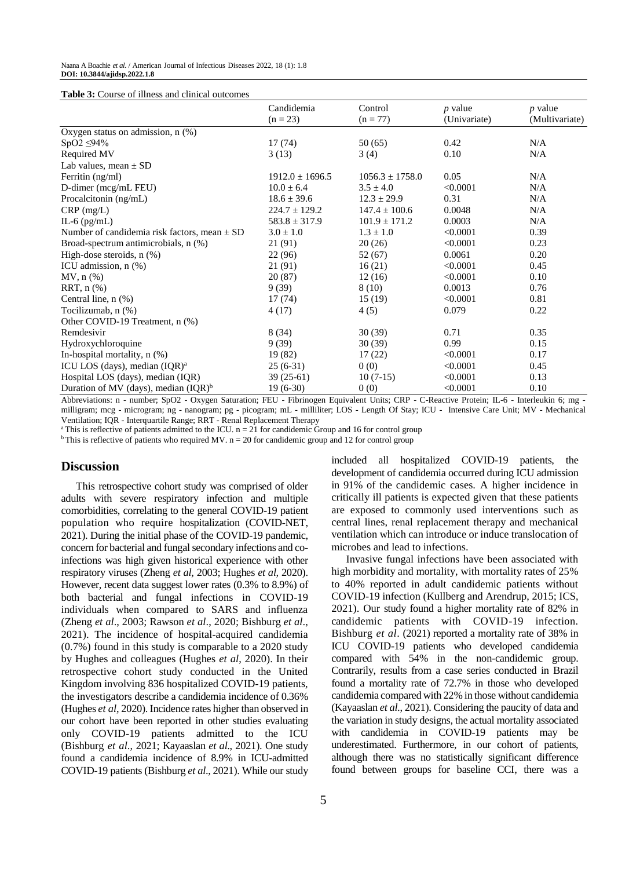**Table 3:** Course of illness and clinical outcomes

| aoic of Course of milless and chinear outcomes   | Candidemia          | Control             | $p$ value    | $p$ value      |
|--------------------------------------------------|---------------------|---------------------|--------------|----------------|
|                                                  | $(n = 23)$          | $(n = 77)$          | (Univariate) | (Multivariate) |
| Oxygen status on admission, $n$ (%)              |                     |                     |              |                |
| $SpO2 \leq 94\%$                                 | 17(74)              | 50(65)              | 0.42         | N/A            |
| Required MV                                      | 3(13)               | 3(4)                | 0.10         | N/A            |
| Lab values, mean $\pm$ SD                        |                     |                     |              |                |
| Ferritin (ng/ml)                                 | $1912.0 \pm 1696.5$ | $1056.3 \pm 1758.0$ | 0.05         | N/A            |
| D-dimer (mcg/mL FEU)                             | $10.0 \pm 6.4$      | $3.5 \pm 4.0$       | < 0.0001     | N/A            |
| Procalcitonin $(ng/mL)$                          | $18.6 \pm 39.6$     | $12.3 \pm 29.9$     | 0.31         | N/A            |
| $CRP$ (mg/L)                                     | $224.7 \pm 129.2$   | $147.4 \pm 100.6$   | 0.0048       | N/A            |
| IL-6 $(pg/mL)$                                   | $583.8 \pm 317.9$   | $101.9 \pm 171.2$   | 0.0003       | N/A            |
| Number of candidemia risk factors, mean $\pm$ SD | $3.0 \pm 1.0$       | $1.3 \pm 1.0$       | < 0.0001     | 0.39           |
| Broad-spectrum antimicrobials, n (%)             | 21 (91)             | 20(26)              | < 0.0001     | 0.23           |
| High-dose steroids, $n$ $(\%)$                   | 22 (96)             | 52 (67)             | 0.0061       | 0.20           |
| ICU admission, $n$ $%$ )                         | 21 (91)             | 16(21)              | < 0.0001     | 0.45           |
| $MV, n (\%)$                                     | 20(87)              | 12(16)              | < 0.0001     | 0.10           |
| $RRT$ , n $(\%)$                                 | 9(39)               | 8(10)               | 0.0013       | 0.76           |
| Central line, $n$ $(\%)$                         | 17(74)              | 15(19)              | < 0.0001     | 0.81           |
| Tocilizumab, n (%)                               | 4 (17)              | 4(5)                | 0.079        | 0.22           |
| Other COVID-19 Treatment, n (%)                  |                     |                     |              |                |
| Remdesivir                                       | 8(34)               | 30(39)              | 0.71         | 0.35           |
| Hydroxychloroquine                               | 9(39)               | 30(39)              | 0.99         | 0.15           |
| In-hospital mortality, $n$ $(\%)$                | 19 (82)             | 17(22)              | < 0.0001     | 0.17           |
| ICU LOS (days), median $(IQR)^a$                 | $25(6-31)$          | 0(0)                | < 0.0001     | 0.45           |
| Hospital LOS (days), median (IQR)                | $39(25-61)$         | $10(7-15)$          | < 0.0001     | 0.13           |
| Duration of MV (days), median $( IQR)^b$         | $19(6-30)$          | 0(0)                | < 0.0001     | 0.10           |

Abbreviations: n - number; SpO2 - Oxygen Saturation; FEU - Fibrinogen Equivalent Units; CRP - C-Reactive Protein; IL-6 - Interleukin 6; mg milligram; mcg - microgram; ng - nanogram; pg - picogram; mL - milliliter; LOS - Length Of Stay; ICU - Intensive Care Unit; MV - Mechanical Ventilation; IQR - Interquartile Range; RRT - Renal Replacement Therapy

<sup>a</sup>This is reflective of patients admitted to the ICU.  $n = 21$  for candidemic Group and 16 for control group

<sup>b</sup>This is reflective of patients who required MV.  $n = 20$  for candidemic group and 12 for control group

#### **Discussion**

This retrospective cohort study was comprised of older adults with severe respiratory infection and multiple comorbidities, correlating to the general COVID-19 patient population who require hospitalization (COVID-NET, 2021). During the initial phase of the COVID-19 pandemic, concern for bacterial and fungal secondary infections and coinfections was high given historical experience with other respiratory viruses (Zheng *et al,* 2003; Hughes *et al,* 2020). However, recent data suggest lower rates (0.3% to 8.9%) of both bacterial and fungal infections in COVID-19 individuals when compared to SARS and influenza (Zheng *et al*., 2003; Rawson *et al*., 2020; Bishburg *et al*., 2021). The incidence of hospital-acquired candidemia (0.7%) found in this study is comparable to a 2020 study by Hughes and colleagues (Hughes *et al*, 2020). In their retrospective cohort study conducted in the United Kingdom involving 836 hospitalized COVID-19 patients, the investigators describe a candidemia incidence of 0.36% (Hughes *et al*, 2020). Incidence rates higher than observed in our cohort have been reported in other studies evaluating only COVID-19 patients admitted to the ICU (Bishburg *et al*., 2021; Kayaaslan *et al*., 2021). One study found a candidemia incidence of 8.9% in ICU-admitted COVID-19 patients (Bishburg *et al*., 2021). While our study

included all hospitalized COVID-19 patients, the development of candidemia occurred during ICU admission in 91% of the candidemic cases. A higher incidence in critically ill patients is expected given that these patients are exposed to commonly used interventions such as central lines, renal replacement therapy and mechanical ventilation which can introduce or induce translocation of microbes and lead to infections.

Invasive fungal infections have been associated with high morbidity and mortality, with mortality rates of 25% to 40% reported in adult candidemic patients without COVID-19 infection (Kullberg and Arendrup, 2015; ICS, 2021). Our study found a higher mortality rate of 82% in candidemic patients with COVID-19 infection. Bishburg *et al*. (2021) reported a mortality rate of 38% in ICU COVID-19 patients who developed candidemia compared with 54% in the non-candidemic group. Contrarily, results from a case series conducted in Brazil found a mortality rate of 72.7% in those who developed candidemia compared with 22% in those without candidemia (Kayaaslan *et al*., 2021). Considering the paucity of data and the variation in study designs, the actual mortality associated with candidemia in COVID-19 patients may be underestimated. Furthermore, in our cohort of patients, although there was no statistically significant difference found between groups for baseline CCI, there was a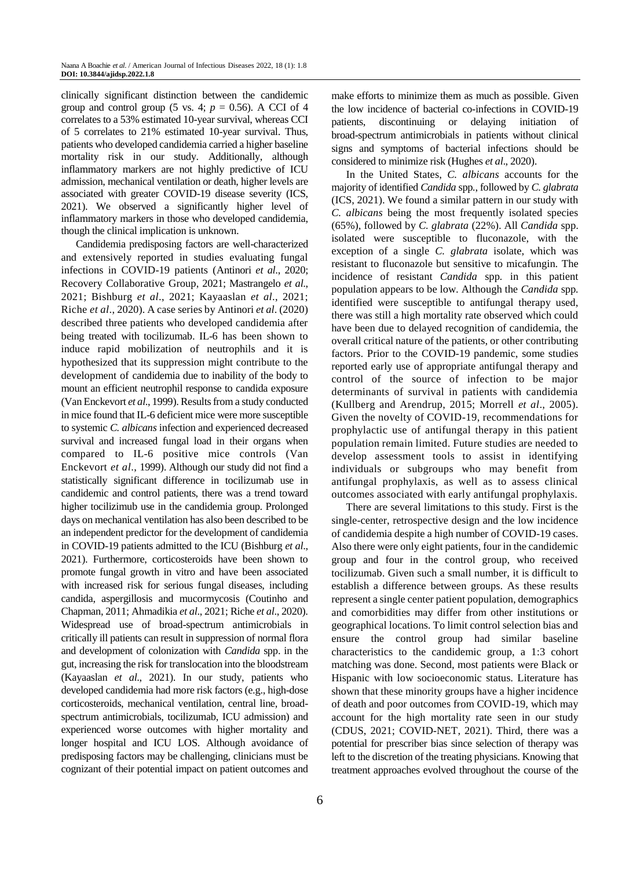clinically significant distinction between the candidemic group and control group (5 vs. 4;  $p = 0.56$ ). A CCI of 4 correlates to a 53% estimated 10-year survival, whereas CCI of 5 correlates to 21% estimated 10-year survival. Thus, patients who developed candidemia carried a higher baseline mortality risk in our study. Additionally, although inflammatory markers are not highly predictive of ICU admission, mechanical ventilation or death, higher levels are associated with greater COVID-19 disease severity (ICS, 2021). We observed a significantly higher level of inflammatory markers in those who developed candidemia, though the clinical implication is unknown.

Candidemia predisposing factors are well-characterized and extensively reported in studies evaluating fungal infections in COVID-19 patients (Antinori *et al*., 2020; Recovery Collaborative Group, 2021; Mastrangelo *et al*., 2021; Bishburg *et al*., 2021; Kayaaslan *et al*., 2021; Riche *et al*., 2020). A case series by Antinori *et al*. (2020) described three patients who developed candidemia after being treated with tocilizumab. IL-6 has been shown to induce rapid mobilization of neutrophils and it is hypothesized that its suppression might contribute to the development of candidemia due to inability of the body to mount an efficient neutrophil response to candida exposure (Van Enckevort *et al*., 1999). Results from a study conducted in mice found that IL-6 deficient mice were more susceptible to systemic *C. albicans* infection and experienced decreased survival and increased fungal load in their organs when compared to IL-6 positive mice controls (Van Enckevort *et al*., 1999). Although our study did not find a statistically significant difference in tocilizumab use in candidemic and control patients, there was a trend toward higher tocilizimub use in the candidemia group. Prolonged days on mechanical ventilation has also been described to be an independent predictor for the development of candidemia in COVID-19 patients admitted to the ICU (Bishburg *et al*., 2021). Furthermore, corticosteroids have been shown to promote fungal growth in vitro and have been associated with increased risk for serious fungal diseases, including candida, aspergillosis and mucormycosis (Coutinho and Chapman, 2011; Ahmadikia *et al*., 2021; Riche *et al*., 2020). Widespread use of broad-spectrum antimicrobials in critically ill patients can result in suppression of normal flora and development of colonization with *Candida* spp. in the gut, increasing the risk for translocation into the bloodstream (Kayaaslan *et al*., 2021). In our study, patients who developed candidemia had more risk factors (e.g., high-dose corticosteroids, mechanical ventilation, central line, broadspectrum antimicrobials, tocilizumab, ICU admission) and experienced worse outcomes with higher mortality and longer hospital and ICU LOS. Although avoidance of predisposing factors may be challenging, clinicians must be cognizant of their potential impact on patient outcomes and

6

make efforts to minimize them as much as possible. Given the low incidence of bacterial co-infections in COVID-19 patients, discontinuing or delaying initiation of broad-spectrum antimicrobials in patients without clinical signs and symptoms of bacterial infections should be considered to minimize risk (Hughes *et al*., 2020).

In the United States, *C. albicans* accounts for the majority of identified *Candida* spp*.*, followed by *C. glabrata* (ICS, 2021). We found a similar pattern in our study with *C. albicans* being the most frequently isolated species (65%), followed by *C. glabrata* (22%). All *Candida* spp. isolated were susceptible to fluconazole, with the exception of a single *C. glabrata* isolate, which was resistant to fluconazole but sensitive to micafungin. The incidence of resistant *Candida* spp*.* in this patient population appears to be low. Although the *Candida* spp*.*  identified were susceptible to antifungal therapy used, there was still a high mortality rate observed which could have been due to delayed recognition of candidemia, the overall critical nature of the patients, or other contributing factors. Prior to the COVID-19 pandemic, some studies reported early use of appropriate antifungal therapy and control of the source of infection to be major determinants of survival in patients with candidemia (Kullberg and Arendrup, 2015; Morrell *et al*., 2005). Given the novelty of COVID-19, recommendations for prophylactic use of antifungal therapy in this patient population remain limited. Future studies are needed to develop assessment tools to assist in identifying individuals or subgroups who may benefit from antifungal prophylaxis, as well as to assess clinical outcomes associated with early antifungal prophylaxis.

There are several limitations to this study. First is the single-center, retrospective design and the low incidence of candidemia despite a high number of COVID-19 cases. Also there were only eight patients, four in the candidemic group and four in the control group, who received tocilizumab. Given such a small number, it is difficult to establish a difference between groups. As these results represent a single center patient population, demographics and comorbidities may differ from other institutions or geographical locations. To limit control selection bias and ensure the control group had similar baseline characteristics to the candidemic group, a 1:3 cohort matching was done. Second, most patients were Black or Hispanic with low socioeconomic status. Literature has shown that these minority groups have a higher incidence of death and poor outcomes from COVID-19, which may account for the high mortality rate seen in our study (CDUS, 2021; COVID-NET, 2021). Third, there was a potential for prescriber bias since selection of therapy was left to the discretion of the treating physicians. Knowing that treatment approaches evolved throughout the course of the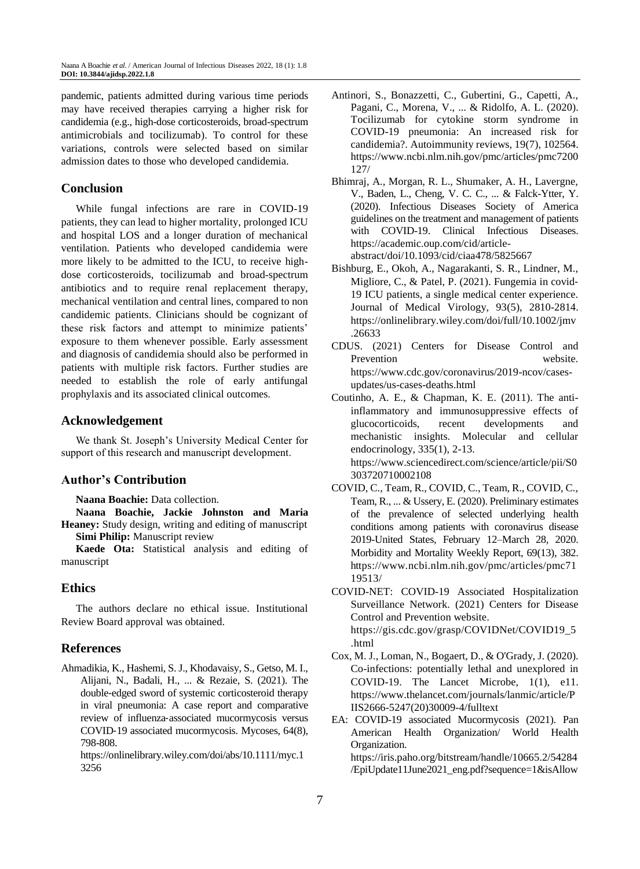pandemic, patients admitted during various time periods may have received therapies carrying a higher risk for candidemia (e.g., high-dose corticosteroids, broad-spectrum antimicrobials and tocilizumab). To control for these variations, controls were selected based on similar admission dates to those who developed candidemia.

## **Conclusion**

While fungal infections are rare in COVID-19 patients, they can lead to higher mortality, prolonged ICU and hospital LOS and a longer duration of mechanical ventilation. Patients who developed candidemia were more likely to be admitted to the ICU, to receive highdose corticosteroids, tocilizumab and broad-spectrum antibiotics and to require renal replacement therapy, mechanical ventilation and central lines, compared to non candidemic patients. Clinicians should be cognizant of these risk factors and attempt to minimize patients' exposure to them whenever possible. Early assessment and diagnosis of candidemia should also be performed in patients with multiple risk factors. Further studies are needed to establish the role of early antifungal prophylaxis and its associated clinical outcomes.

### **Acknowledgement**

We thank St. Joseph's University Medical Center for support of this research and manuscript development.

## **Author's Contribution**

**Naana Boachie:** Data collection.

**Naana Boachie, Jackie Johnston and Maria Heaney:** Study design, writing and editing of manuscript **Simi Philip:** Manuscript review

**Kaede Ota:** Statistical analysis and editing of manuscript

## **Ethics**

The authors declare no ethical issue. Institutional Review Board approval was obtained.

#### **References**

Ahmadikia, K., Hashemi, S. J., Khodavaisy, S., Getso, M. I., Alijani, N., Badali, H., ... & Rezaie, S. (2021). The double‐edged sword of systemic corticosteroid therapy in viral pneumonia: A case report and comparative review of influenza‐associated mucormycosis versus COVID‐19 associated mucormycosis. Mycoses, 64(8), 798-808.

https://onlinelibrary.wiley.com/doi/abs/10.1111/myc.1 3256

- Antinori, S., Bonazzetti, C., Gubertini, G., Capetti, A., Pagani, C., Morena, V., ... & Ridolfo, A. L. (2020). Tocilizumab for cytokine storm syndrome in COVID-19 pneumonia: An increased risk for candidemia?. Autoimmunity reviews, 19(7), 102564. https://www.ncbi.nlm.nih.gov/pmc/articles/pmc7200 127/
- Bhimraj, A., Morgan, R. L., Shumaker, A. H., Lavergne, V., Baden, L., Cheng, V. C. C., ... & Falck-Ytter, Y. (2020). Infectious Diseases Society of America guidelines on the treatment and management of patients with COVID-19. Clinical Infectious Diseases. https://academic.oup.com/cid/articleabstract/doi/10.1093/cid/ciaa478/5825667
- Bishburg, E., Okoh, A., Nagarakanti, S. R., Lindner, M., Migliore, C., & Patel, P. (2021). Fungemia in covid‐ 19 ICU patients, a single medical center experience. Journal of Medical Virology, 93(5), 2810-2814. [https://onlinelibrary.wiley.com/doi/full/10.1002/jmv](https://onlinelibrary.wiley.com/doi/full/10.1002/jmv.26633) [.26633](https://onlinelibrary.wiley.com/doi/full/10.1002/jmv.26633)
- CDUS. (2021) Centers for Disease Control and Prevention website. [https://www.cdc.gov/coronavirus/2019-ncov/cases](https://www.cdc.gov/coronavirus/2019-ncov/cases-updates/us-cases-deaths.html)[updates/us-cases-deaths.html](https://www.cdc.gov/coronavirus/2019-ncov/cases-updates/us-cases-deaths.html)
- Coutinho, A. E., & Chapman, K. E. (2011). The antiinflammatory and immunosuppressive effects of glucocorticoids, recent developments and mechanistic insights. Molecular and cellular endocrinology, 335(1), 2-13. https://www.sciencedirect.com/science/article/pii/S0 303720710002108
- COVID, C., Team, R., COVID, C., Team, R., COVID, C., Team, R., ... & Ussery, E. (2020). Preliminary estimates of the prevalence of selected underlying health conditions among patients with coronavirus disease 2019-United States, February 12–March 28, 2020. Morbidity and Mortality Weekly Report, 69(13), 382. https://www.ncbi.nlm.nih.gov/pmc/articles/pmc71 19513/
- COVID-NET: COVID-19 Associated Hospitalization Surveillance Network. (2021) Centers for Disease Control and Prevention website. https://gis.cdc.gov/grasp/COVIDNet/COVID19\_5 .html
- Cox, M. J., Loman, N., Bogaert, D., & O'Grady, J. (2020). Co-infections: potentially lethal and unexplored in COVID-19. The Lancet Microbe, 1(1), e11. https://www.thelancet.com/journals/lanmic/article/P IIS2666-5247(20)30009-4/fulltext
- EA: COVID-19 associated Mucormycosis (2021). Pan American Health Organization/ World Health Organization. https://iris.paho.org/bitstream/handle/10665.2/54284 /EpiUpdate11June2021\_eng.pdf?sequence=1&isAllow